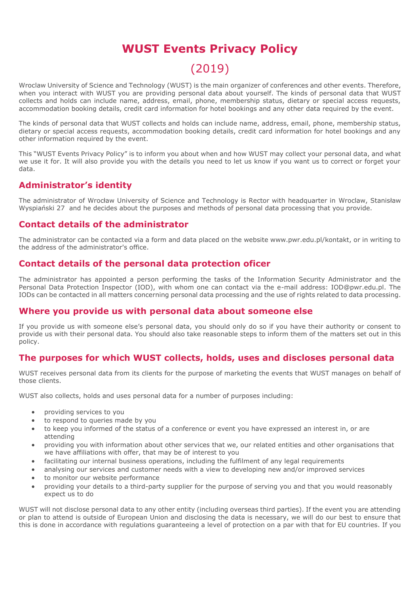# **WUST Events Privacy Policy**

# (2019)

Wroclaw University of Science and Technology (WUST) is the main organizer of conferences and other events. Therefore, when you interact with WUST you are providing personal data about yourself. The kinds of personal data that WUST collects and holds can include name, address, email, phone, membership status, dietary or special access requests, accommodation booking details, credit card information for hotel bookings and any other data required by the event.

The kinds of personal data that WUST collects and holds can include name, address, email, phone, membership status, dietary or special access requests, accommodation booking details, credit card information for hotel bookings and any other information required by the event.

This "WUST Events Privacy Policy" is to inform you about when and how WUST may collect your personal data, and what we use it for. It will also provide you with the details you need to let us know if you want us to correct or forget your data.

## **Administrator's identity**

The administrator of Wrocław University of Science and Technology is Rector with headquarter in Wroclaw, Stanisław Wyspiański 27 and he decides about the purposes and methods of personal data processing that you provide.

## **Contact details of the administrator**

The administrator can be contacted via a form and data placed on the website www.pwr.edu.pl/kontakt, or in writing to the address of the administrator's office.

### **Contact details of the personal data protection oficer**

The administrator has appointed a person performing the tasks of the Information Security Administrator and the Personal Data Protection Inspector (IOD), with whom one can contact via the e-mail address: IOD@pwr.edu.pl. The IODs can be contacted in all matters concerning personal data processing and the use of rights related to data processing.

## **Where you provide us with personal data about someone else**

If you provide us with someone else's personal data, you should only do so if you have their authority or consent to provide us with their personal data. You should also take reasonable steps to inform them of the matters set out in this policy.

## **The purposes for which WUST collects, holds, uses and discloses personal data**

WUST receives personal data from its clients for the purpose of marketing the events that WUST manages on behalf of those clients.

WUST also collects, holds and uses personal data for a number of purposes including:

- providing services to you
- to respond to queries made by you
- to keep you informed of the status of a conference or event you have expressed an interest in, or are attending
- providing you with information about other services that we, our related entities and other organisations that we have affiliations with offer, that may be of interest to you
- facilitating our internal business operations, including the fulfilment of any legal requirements
- analysing our services and customer needs with a view to developing new and/or improved services
- to monitor our website performance
- providing your details to a third-party supplier for the purpose of serving you and that you would reasonably expect us to do

WUST will not disclose personal data to any other entity (including overseas third parties). If the event you are attending or plan to attend is outside of European Union and disclosing the data is necessary, we will do our best to ensure that this is done in accordance with regulations guaranteeing a level of protection on a par with that for EU countries. If you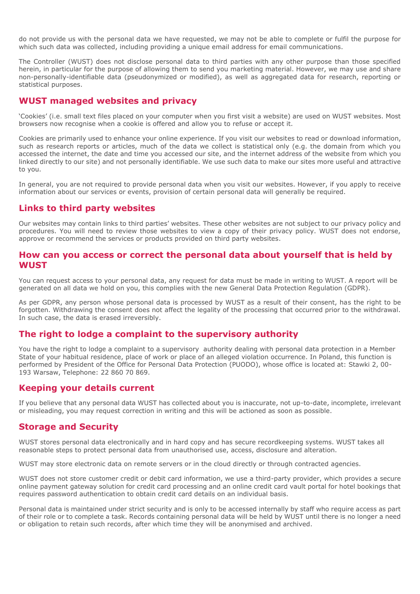do not provide us with the personal data we have requested, we may not be able to complete or fulfil the purpose for which such data was collected, including providing a unique email address for email communications.

The Controller (WUST) does not disclose personal data to third parties with any other purpose than those specified herein, in particular for the purpose of allowing them to send you marketing material. However, we may use and share non-personally-identifiable data (pseudonymized or modified), as well as aggregated data for research, reporting or statistical purposes.

#### **WUST managed websites and privacy**

'Cookies' (i.e. small text files placed on your computer when you first visit a website) are used on WUST websites. Most browsers now recognise when a cookie is offered and allow you to refuse or accept it.

Cookies are primarily used to enhance your online experience. If you visit our websites to read or download information, such as research reports or articles, much of the data we collect is statistical only (e.g. the domain from which you accessed the internet, the date and time you accessed our site, and the internet address of the website from which you linked directly to our site) and not personally identifiable. We use such data to make our sites more useful and attractive to you.

In general, you are not required to provide personal data when you visit our websites. However, if you apply to receive information about our services or events, provision of certain personal data will generally be required.

#### **Links to third party websites**

Our websites may contain links to third parties' websites. These other websites are not subject to our privacy policy and procedures. You will need to review those websites to view a copy of their privacy policy. WUST does not endorse, approve or recommend the services or products provided on third party websites.

#### **How can you access or correct the personal data about yourself that is held by WUST**

You can request access to your personal data, any request for data must be made in writing to WUST. A report will be generated on all data we hold on you, this complies with the new General Data Protection Regulation (GDPR).

As per GDPR, any person whose personal data is processed by WUST as a result of their consent, has the right to be forgotten. Withdrawing the consent does not affect the legality of the processing that occurred prior to the withdrawal. In such case, the data is erased irreversibly.

#### **The right to lodge a complaint to the supervisory authority**

You have the right to lodge a complaint to a supervisory authority dealing with personal data protection in a Member State of your habitual residence, place of work or place of an alleged violation occurrence. In Poland, this function is performed by President of the Office for Personal Data Protection (PUODO), whose office is located at: Stawki 2, 00- 193 Warsaw, Telephone: 22 860 70 869.

#### **Keeping your details current**

If you believe that any personal data WUST has collected about you is inaccurate, not up-to-date, incomplete, irrelevant or misleading, you may request correction in writing and this will be actioned as soon as possible.

#### **Storage and Security**

WUST stores personal data electronically and in hard copy and has secure recordkeeping systems. WUST takes all reasonable steps to protect personal data from unauthorised use, access, disclosure and alteration.

WUST may store electronic data on remote servers or in the cloud directly or through contracted agencies.

WUST does not store customer credit or debit card information, we use a third-party provider, which provides a secure online payment gateway solution for credit card processing and an online credit card vault portal for hotel bookings that requires password authentication to obtain credit card details on an individual basis.

Personal data is maintained under strict security and is only to be accessed internally by staff who require access as part of their role or to complete a task. Records containing personal data will be held by WUST until there is no longer a need or obligation to retain such records, after which time they will be anonymised and archived.